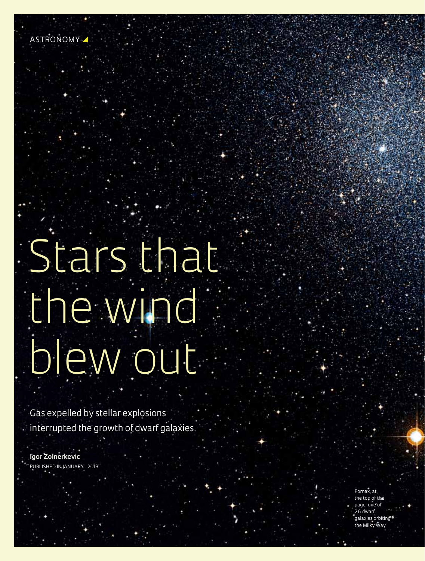# Stars that the wind blew out

Gas expelled by stellar explosions interrupted the growth of dwarf galaxies

**Igor Zolnerkevic** Published in January - 2013

**36** z special issue **July 2013**

Fornax, at the top of the page: one of 26 dwarf galaxies orbiting the Milky Way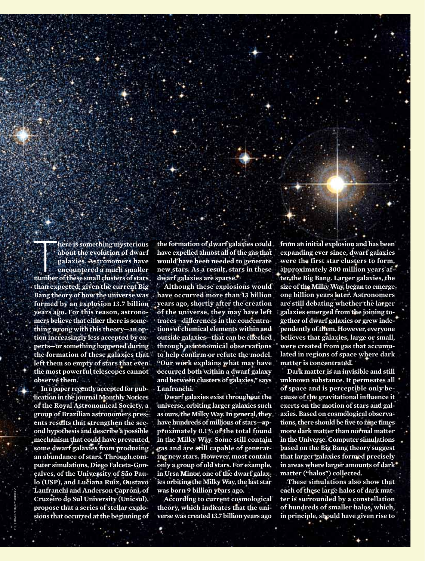**1996 There is something mysterious**<br>about the evolution of dwarf<br>galaxies. Astronomers have<br>encountered a much smaller<br>number of these small clusters of stars **here is something mysterious about the evolution of dwarf galaxies. Astronomers have encountered a much smaller than expected, given the current Big Bang theory of how the universe was formed by an explosion 13.7 billion years ago. For this reason, astronomers believe that either there is something wrong with this theory—an option increasingly less accepted by experts—or something happened during the formation of these galaxies that left them so empty of stars that even the most powerful telescopes cannot observe them.**

**In a paper recently accepted for publication in the journal Monthly Notices of the Royal Astronomical Society, a group of Brazilian astronomers presents results that strengthen the second hypothesis and describe a possible mechanism that could have prevented some dwarf galaxies from producing an abundance of stars. Through computer simulations, Diego Falceta-Gonçalves, of the University of São Paulo (USP), and Luciana Ruiz, Gustavo Lanfranchi and Anderson Caproni, of Cruzeiro do Sul University (Unicsul), propose that a series of stellar explosions that occurred at the beginning of** 

ESO / Digitized Sky Survey 2

**the formation of dwarf galaxies could have expelled almost all of the gas that would have been needed to generate new stars. As a result, stars in these dwarf galaxies are sparse.** 

**Although these explosions would have occurred more than 13 billion years ago, shortly after the creation of the universe, they may have left traces—differences in the concentrations of chemical elements within and outside galaxies—that can be checked through astronomical observations to help confirm or refute the model. "Our work explains what may have occurred both within a dwarf galaxy and between clusters of galaxies," says Lanfranchi.**

**Dwarf galaxies exist throughout the universe, orbiting larger galaxies such as ours, the Milky Way. In general, they have hundreds of millions of stars—approximately 0.1% of the total found in the Milky Way. Some still contain gas and are still capable of generating new stars. However, most contain only a group of old stars. For example, in Ursa Minor, one of the dwarf galaxies orbiting the Milky Way, the last star was born 9 billion years ago.**

**According to current cosmological theory, which indicates that the universe was created 13.7 billion years ago** 

**from an initial explosion and has been expanding ever since, dwarf galaxies were the first star clusters to form, approximately 300 million years after the Big Bang. Larger galaxies, the size of the Milky Way, began to emerge one billion years later. Astronomers are still debating whether the larger galaxies emerged from the joining together of dwarf galaxies or grew independently of them. However, everyone believes that galaxies, large or small, were created from gas that accumulated in regions of space where dark matter is concentrated.**

**Dark matter is an invisible and still unknown substance. It permeates all of space and is perceptible only because of the gravitational influence it exerts on the motion of stars and galaxies. Based on cosmological observations, there should be five to nine times more dark matter than normal matter in the Universe. Computer simulations based on the Big Bang theory suggest that larger galaxies formed precisely in areas where larger amounts of dark matter ("halos") collected.** 

**These simulations also show that each of these large halos of dark matter is surrounded by a constellation of hundreds of smaller halos, which, in principle, should have given rise to** 

**pESQUISHER**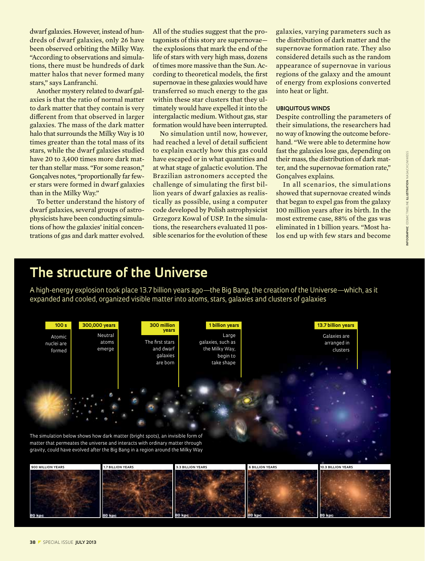dwarf galaxies. However, instead of hundreds of dwarf galaxies, only 26 have been observed orbiting the Milky Way. "According to observations and simulations, there must be hundreds of dark matter halos that never formed many stars," says Lanfranchi.

Another mystery related to dwarf galaxies is that the ratio of normal matter to dark matter that they contain is very different from that observed in larger galaxies. The mass of the dark matter halo that surrounds the Milky Way is 10 times greater than the total mass of its stars, while the dwarf galaxies studied have 20 to 3,400 times more dark matter than stellar mass. "For some reason," Gonçalves notes, "proportionally far fewer stars were formed in dwarf galaxies than in the Milky Way."

To better understand the history of dwarf galaxies, several groups of astrophysicists have been conducting simulations of how the galaxies' initial concentrations of gas and dark matter evolved.

All of the studies suggest that the protagonists of this story are supernovae the explosions that mark the end of the life of stars with very high mass, dozens of times more massive than the Sun. According to theoretical models, the first supernovae in these galaxies would have transferred so much energy to the gas within these star clusters that they ultimately would have expelled it into the intergalactic medium. Without gas, star formation would have been interrupted.

No simulation until now, however, had reached a level of detail sufficient to explain exactly how this gas could have escaped or in what quantities and at what stage of galactic evolution. The Brazilian astronomers accepted the challenge of simulating the first billion years of dwarf galaxies as realistically as possible, using a computer code developed by Polish astrophysicist Grzegorz Kowal of USP. In the simulations, the researchers evaluated 11 possible scenarios for the evolution of these

galaxies, varying parameters such as the distribution of dark matter and the supernovae formation rate. They also considered details such as the random appearance of supernovae in various regions of the galaxy and the amount of energy from explosions converted into heat or light.

#### **Ubiquitous winds**

Despite controlling the parameters of their simulations, the researchers had no way of knowing the outcome beforehand. "We were able to determine how fast the galaxies lose gas, depending on their mass, the distribution of dark matter, and the supernovae formation rate," Gonçalves explains.

In all scenarios, the simulations showed that supernovae created winds that began to expel gas from the galaxy 100 million years after its birth. In the most extreme case, 88% of the gas was eliminated in 1 billion years. "Most halos end up with few stars and become

## **The structure of the Universe**

A high-energy explosion took place 13.7 billion years ago—the Big Bang, the creation of the Universe—which, as it expanded and cooled, organized visible matter into atoms, stars, galaxies and clusters of galaxies